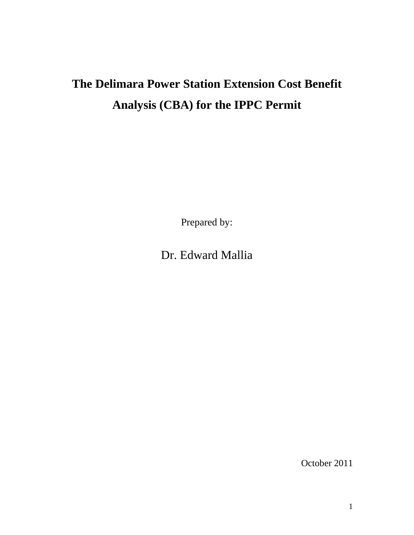# **The Delimara Power Station Extension Cost Benefit Analysis (CBA) for the IPPC Permit**

Prepared by:

Dr. Edward Mallia

October 2011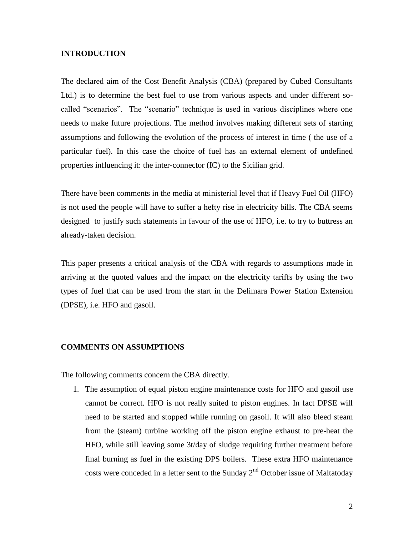# **INTRODUCTION**

The declared aim of the Cost Benefit Analysis (CBA) (prepared by Cubed Consultants Ltd.) is to determine the best fuel to use from various aspects and under different socalled "scenarios". The "scenario" technique is used in various disciplines where one needs to make future projections. The method involves making different sets of starting assumptions and following the evolution of the process of interest in time ( the use of a particular fuel). In this case the choice of fuel has an external element of undefined properties influencing it: the inter-connector (IC) to the Sicilian grid.

There have been comments in the media at ministerial level that if Heavy Fuel Oil (HFO) is not used the people will have to suffer a hefty rise in electricity bills. The CBA seems designed to justify such statements in favour of the use of HFO, i.e. to try to buttress an already-taken decision.

This paper presents a critical analysis of the CBA with regards to assumptions made in arriving at the quoted values and the impact on the electricity tariffs by using the two types of fuel that can be used from the start in the Delimara Power Station Extension (DPSE), i.e. HFO and gasoil.

## **COMMENTS ON ASSUMPTIONS**

The following comments concern the CBA directly.

1. The assumption of equal piston engine maintenance costs for HFO and gasoil use cannot be correct. HFO is not really suited to piston engines. In fact DPSE will need to be started and stopped while running on gasoil. It will also bleed steam from the (steam) turbine working off the piston engine exhaust to pre-heat the HFO, while still leaving some 3t/day of sludge requiring further treatment before final burning as fuel in the existing DPS boilers. These extra HFO maintenance costs were conceded in a letter sent to the Sunday  $2<sup>nd</sup>$  October issue of Maltatoday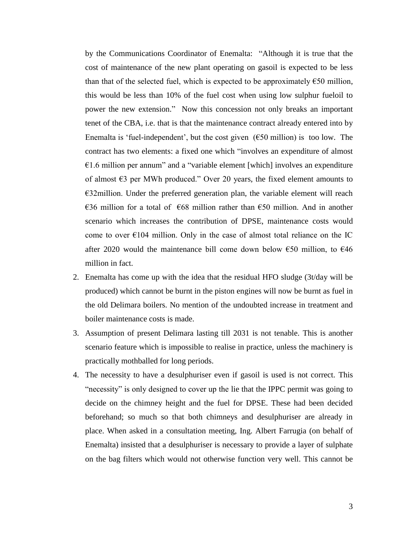by the Communications Coordinator of Enemalta: "Although it is true that the cost of maintenance of the new plant operating on gasoil is expected to be less than that of the selected fuel, which is expected to be approximately  $\epsilon$ 50 million, this would be less than 10% of the fuel cost when using low sulphur fueloil to power the new extension." Now this concession not only breaks an important tenet of the CBA, i.e. that is that the maintenance contract already entered into by Enemalta is 'fuel-independent', but the cost given  $(650 \text{ million})$  is too low. The contract has two elements: a fixed one which "involves an expenditure of almost  $€1.6$  million per annum" and a "variable element [which] involves an expenditure of almost  $\epsilon$ 3 per MWh produced." Over 20 years, the fixed element amounts to  $E32$ million. Under the preferred generation plan, the variable element will reach €36 million for a total of €68 million rather than €50 million. And in another scenario which increases the contribution of DPSE, maintenance costs would come to over  $E104$  million. Only in the case of almost total reliance on the IC after 2020 would the maintenance bill come down below  $\epsilon$ 50 million, to  $\epsilon$ 46 million in fact.

- 2. Enemalta has come up with the idea that the residual HFO sludge (3t/day will be produced) which cannot be burnt in the piston engines will now be burnt as fuel in the old Delimara boilers. No mention of the undoubted increase in treatment and boiler maintenance costs is made.
- 3. Assumption of present Delimara lasting till 2031 is not tenable. This is another scenario feature which is impossible to realise in practice, unless the machinery is practically mothballed for long periods.
- 4. The necessity to have a desulphuriser even if gasoil is used is not correct. This "necessity" is only designed to cover up the lie that the IPPC permit was going to decide on the chimney height and the fuel for DPSE. These had been decided beforehand; so much so that both chimneys and desulphuriser are already in place. When asked in a consultation meeting, Ing. Albert Farrugia (on behalf of Enemalta) insisted that a desulphuriser is necessary to provide a layer of sulphate on the bag filters which would not otherwise function very well. This cannot be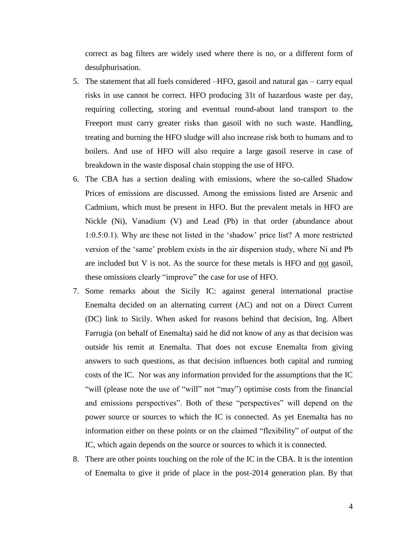correct as bag filters are widely used where there is no, or a different form of desulphurisation.

- 5. The statement that all fuels considered –HFO, gasoil and natural gas carry equal risks in use cannot be correct. HFO producing 31t of hazardous waste per day, requiring collecting, storing and eventual round-about land transport to the Freeport must carry greater risks than gasoil with no such waste. Handling, treating and burning the HFO sludge will also increase risk both to humans and to boilers. And use of HFO will also require a large gasoil reserve in case of breakdown in the waste disposal chain stopping the use of HFO.
- 6. The CBA has a section dealing with emissions, where the so-called Shadow Prices of emissions are discussed. Among the emissions listed are Arsenic and Cadmium, which must be present in HFO. But the prevalent metals in HFO are Nickle (Ni), Vanadium (V) and Lead (Pb) in that order (abundance about 1:0.5:0.1). Why are these not listed in the "shadow" price list? A more restricted version of the "same" problem exists in the air dispersion study, where Ni and Pb are included but  $V$  is not. As the source for these metals is HFO and not gasoil, these omissions clearly "improve" the case for use of HFO.
- 7. Some remarks about the Sicily IC: against general international practise Enemalta decided on an alternating current (AC) and not on a Direct Current (DC) link to Sicily. When asked for reasons behind that decision, Ing. Albert Farrugia (on behalf of Enemalta) said he did not know of any as that decision was outside his remit at Enemalta. That does not excuse Enemalta from giving answers to such questions, as that decision influences both capital and running costs of the IC. Nor was any information provided for the assumptions that the IC "will (please note the use of "will" not "may") optimise costs from the financial and emissions perspectives". Both of these "perspectives" will depend on the power source or sources to which the IC is connected. As yet Enemalta has no information either on these points or on the claimed "flexibility" of output of the IC, which again depends on the source or sources to which it is connected.
- 8. There are other points touching on the role of the IC in the CBA. It is the intention of Enemalta to give it pride of place in the post-2014 generation plan. By that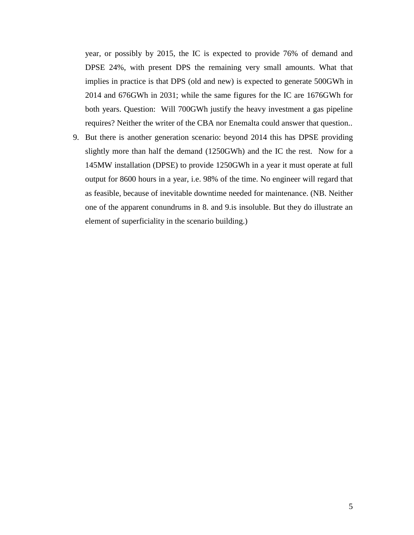year, or possibly by 2015, the IC is expected to provide 76% of demand and DPSE 24%, with present DPS the remaining very small amounts. What that implies in practice is that DPS (old and new) is expected to generate 500GWh in 2014 and 676GWh in 2031; while the same figures for the IC are 1676GWh for both years. Question: Will 700GWh justify the heavy investment a gas pipeline requires? Neither the writer of the CBA nor Enemalta could answer that question..

9. But there is another generation scenario: beyond 2014 this has DPSE providing slightly more than half the demand (1250GWh) and the IC the rest. Now for a 145MW installation (DPSE) to provide 1250GWh in a year it must operate at full output for 8600 hours in a year, i.e. 98% of the time. No engineer will regard that as feasible, because of inevitable downtime needed for maintenance. (NB. Neither one of the apparent conundrums in 8. and 9.is insoluble. But they do illustrate an element of superficiality in the scenario building.)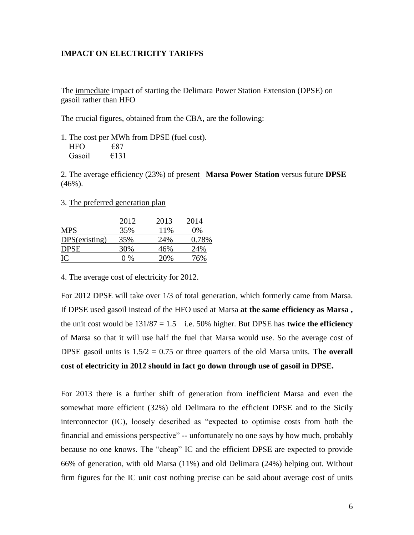# **IMPACT ON ELECTRICITY TARIFFS**

The immediate impact of starting the Delimara Power Station Extension (DPSE) on gasoil rather than HFO

The crucial figures, obtained from the CBA, are the following:

|        |      | 1. The cost per MWh from DPSE (fuel cost). |
|--------|------|--------------------------------------------|
| HFO.   | €87  |                                            |
| Gasoil | €131 |                                            |

2. The average efficiency (23%) of present **Marsa Power Station** versus future **DPSE**  $(46\%)$ .

3. The preferred generation plan

|               | 2012 | 2013 | 2014  |
|---------------|------|------|-------|
| <b>MPS</b>    | 35%  | 11\% | 0%    |
| DPS(existing) | 35%  | 24%  | 0.78% |
| <b>DPSE</b>   | 30%  | 46%  | 24%   |
| IC            | በ %  | 20%  | 76%   |

4. The average cost of electricity for 2012.

For 2012 DPSE will take over 1/3 of total generation, which formerly came from Marsa. If DPSE used gasoil instead of the HFO used at Marsa **at the same efficiency as Marsa ,**  the unit cost would be  $131/87 = 1.5$  i.e. 50% higher. But DPSE has **twice the efficiency** of Marsa so that it will use half the fuel that Marsa would use. So the average cost of DPSE gasoil units is 1.5/2 = 0.75 or three quarters of the old Marsa units. **The overall cost of electricity in 2012 should in fact go down through use of gasoil in DPSE.**

For 2013 there is a further shift of generation from inefficient Marsa and even the somewhat more efficient (32%) old Delimara to the efficient DPSE and to the Sicily interconnector (IC), loosely described as "expected to optimise costs from both the financial and emissions perspective" -- unfortunately no one says by how much, probably because no one knows. The "cheap" IC and the efficient DPSE are expected to provide 66% of generation, with old Marsa (11%) and old Delimara (24%) helping out. Without firm figures for the IC unit cost nothing precise can be said about average cost of units